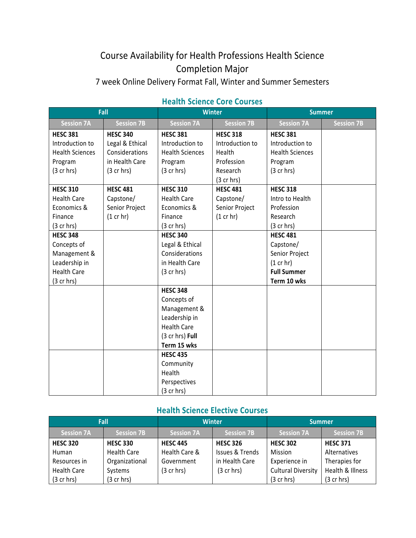# Course Availability for Health Professions Health Science Completion Major

# 7 week Online Delivery Format Fall, Winter and Summer Semesters

| Fall                   |                     | <b>Winter</b>          |                   | <b>Summer</b>          |                   |
|------------------------|---------------------|------------------------|-------------------|------------------------|-------------------|
| <b>Session 7A</b>      | <b>Session 7B</b>   | <b>Session 7A</b>      | <b>Session 7B</b> | <b>Session 7A</b>      | <b>Session 7B</b> |
| <b>HESC 381</b>        | <b>HESC 340</b>     | <b>HESC 381</b>        | <b>HESC 318</b>   | <b>HESC 381</b>        |                   |
| Introduction to        | Legal & Ethical     | Introduction to        | Introduction to   | Introduction to        |                   |
| <b>Health Sciences</b> | Considerations      | <b>Health Sciences</b> | Health            | <b>Health Sciences</b> |                   |
| Program                | in Health Care      | Program                | Profession        | Program                |                   |
| (3 cr hrs)             | (3 cr hrs)          | (3 cr hrs)             | Research          | (3 cr hrs)             |                   |
|                        |                     |                        | $(3$ cr hrs)      |                        |                   |
| <b>HESC 310</b>        | <b>HESC 481</b>     | <b>HESC 310</b>        | <b>HESC 481</b>   | <b>HESC 318</b>        |                   |
| <b>Health Care</b>     | Capstone/           | <b>Health Care</b>     | Capstone/         | Intro to Health        |                   |
| Economics &            | Senior Project      | Economics &            | Senior Project    | Profession             |                   |
| Finance                | $(1 \text{ cr hr})$ | Finance                | $(1$ cr hr)       | Research               |                   |
| $(3$ cr hrs)           |                     | $(3$ cr hrs)           |                   | (3 cr hrs)             |                   |
| <b>HESC 348</b>        |                     | <b>HESC 340</b>        |                   | <b>HESC 481</b>        |                   |
| Concepts of            |                     | Legal & Ethical        |                   | Capstone/              |                   |
| Management &           |                     | Considerations         |                   | Senior Project         |                   |
| Leadership in          |                     | in Health Care         |                   | (1 cr hr)              |                   |
| <b>Health Care</b>     |                     | (3 cr hrs)             |                   | <b>Full Summer</b>     |                   |
| $(3$ cr hrs)           |                     |                        |                   | Term 10 wks            |                   |
|                        |                     | <b>HESC 348</b>        |                   |                        |                   |
|                        |                     | Concepts of            |                   |                        |                   |
|                        |                     | Management &           |                   |                        |                   |
|                        |                     | Leadership in          |                   |                        |                   |
|                        |                     | <b>Health Care</b>     |                   |                        |                   |
|                        |                     | (3 cr hrs) Full        |                   |                        |                   |
|                        |                     | Term 15 wks            |                   |                        |                   |
|                        |                     | <b>HESC 435</b>        |                   |                        |                   |
|                        |                     | Community              |                   |                        |                   |
|                        |                     | Health                 |                   |                        |                   |
|                        |                     | Perspectives           |                   |                        |                   |
|                        |                     | (3 cr hrs)             |                   |                        |                   |

# **Health Science Core Courses**

### **Health Science Elective Courses**

| Fall               |                      | <b>Winter</b>        |                            | <b>Summer</b>             |                   |
|--------------------|----------------------|----------------------|----------------------------|---------------------------|-------------------|
| <b>Session 7A</b>  | <b>Session 7B</b>    | <b>Session 7A</b>    | <b>Session 7B</b>          | <b>Session 7A</b>         | <b>Session 7B</b> |
| <b>HESC 320</b>    | <b>HESC 330</b>      | <b>HESC 445</b>      | <b>HESC 326</b>            | <b>HESC 302</b>           | <b>HESC 371</b>   |
| Human              | <b>Health Care</b>   | Health Care &        | <b>Issues &amp; Trends</b> | Mission                   | Alternatives      |
| Resources in       | Organizational       | Government           | in Health Care             | Experience in             | Therapies for     |
| <b>Health Care</b> | Systems              | $(3 \text{ cr hrs})$ | $(3$ cr hrs)               | <b>Cultural Diversity</b> | Health & Illness  |
| $(3$ cr hrs)       | $(3 \text{ cr hrs})$ |                      |                            | $(3$ cr hrs)              | $(3$ cr hrs)      |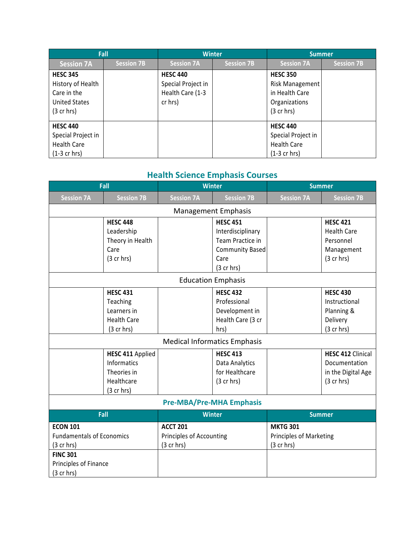| Fall                                                                                                |                   | <b>Winter</b>                                                        |                   | <b>Summer</b>                                                                                        |                   |
|-----------------------------------------------------------------------------------------------------|-------------------|----------------------------------------------------------------------|-------------------|------------------------------------------------------------------------------------------------------|-------------------|
| <b>Session 7A</b>                                                                                   | <b>Session 7B</b> | <b>Session 7A</b>                                                    | <b>Session 7B</b> | <b>Session 7A</b>                                                                                    | <b>Session 7B</b> |
| <b>HESC 345</b><br>History of Health<br>Care in the<br><b>United States</b><br>$(3 \text{ cr hrs})$ |                   | <b>HESC 440</b><br>Special Project in<br>Health Care (1-3<br>cr hrs) |                   | <b>HESC 350</b><br><b>Risk Management</b><br>in Health Care<br>Organizations<br>$(3 \text{ cr hrs})$ |                   |
| <b>HESC 440</b><br>Special Project in<br><b>Health Care</b><br>$(1-3$ cr hrs)                       |                   |                                                                      |                   | <b>HESC 440</b><br>Special Project in<br><b>Health Care</b><br>$(1-3$ cr hrs)                        |                   |

# **Health Science Emphasis Courses**

| Fall                             |                                     | <b>Winter</b>            |                        | <b>Summer</b>                  |                          |  |  |
|----------------------------------|-------------------------------------|--------------------------|------------------------|--------------------------------|--------------------------|--|--|
| <b>Session 7A</b>                | <b>Session 7B</b>                   | <b>Session 7A</b>        | <b>Session 7B</b>      | <b>Session 7A</b>              | <b>Session 7B</b>        |  |  |
|                                  | <b>Management Emphasis</b>          |                          |                        |                                |                          |  |  |
|                                  | <b>HESC 448</b>                     |                          | <b>HESC 451</b>        |                                | <b>HESC 421</b>          |  |  |
|                                  | Leadership                          |                          | Interdisciplinary      |                                | <b>Health Care</b>       |  |  |
|                                  | Theory in Health                    |                          | Team Practice in       |                                | Personnel                |  |  |
|                                  | Care                                |                          | <b>Community Based</b> |                                | Management               |  |  |
|                                  | $(3$ cr hrs)                        |                          | Care                   |                                | $(3$ cr hrs)             |  |  |
|                                  |                                     |                          | (3 cr hrs)             |                                |                          |  |  |
|                                  | <b>Education Emphasis</b>           |                          |                        |                                |                          |  |  |
|                                  | <b>HESC 431</b>                     |                          | <b>HESC 432</b>        |                                | <b>HESC 430</b>          |  |  |
|                                  | Teaching                            |                          | Professional           |                                | Instructional            |  |  |
|                                  | Learners in                         |                          | Development in         |                                | Planning &               |  |  |
|                                  | <b>Health Care</b>                  |                          | Health Care (3 cr      |                                | Delivery                 |  |  |
|                                  | $(3$ cr hrs)                        |                          | hrs)                   |                                | $(3$ cr hrs)             |  |  |
|                                  | <b>Medical Informatics Emphasis</b> |                          |                        |                                |                          |  |  |
|                                  | <b>HESC 411 Applied</b>             |                          | <b>HESC 413</b>        |                                | <b>HESC 412 Clinical</b> |  |  |
|                                  | Informatics                         |                          | Data Analytics         |                                | Documentation            |  |  |
|                                  | Theories in                         |                          | for Healthcare         |                                | in the Digital Age       |  |  |
|                                  | Healthcare                          |                          | $(3$ cr hrs)           |                                | $(3$ cr hrs)             |  |  |
|                                  | $(3$ cr hrs)                        |                          |                        |                                |                          |  |  |
| <b>Pre-MBA/Pre-MHA Emphasis</b>  |                                     |                          |                        |                                |                          |  |  |
| Fall                             |                                     | <b>Winter</b>            |                        | <b>Summer</b>                  |                          |  |  |
| <b>ECON 101</b>                  |                                     | <b>ACCT 201</b>          |                        | <b>MKTG 301</b>                |                          |  |  |
| <b>Fundamentals of Economics</b> |                                     | Principles of Accounting |                        | <b>Principles of Marketing</b> |                          |  |  |
| (3 cr hrs)                       |                                     | $(3$ cr hrs)             |                        | $(3$ cr hrs)                   |                          |  |  |
| <b>FINC 301</b>                  |                                     |                          |                        |                                |                          |  |  |
| Principles of Finance            |                                     |                          |                        |                                |                          |  |  |
| (3 cr hrs)                       |                                     |                          |                        |                                |                          |  |  |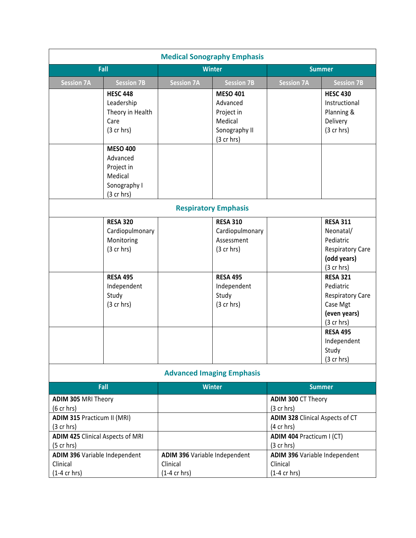| <b>Medical Sonography Emphasis</b>                                                       |                                                                                                                         |                                                                     |                                                                                                                             |                                                                                                   |                                                                                                                                                                                                                                                                     |  |  |  |
|------------------------------------------------------------------------------------------|-------------------------------------------------------------------------------------------------------------------------|---------------------------------------------------------------------|-----------------------------------------------------------------------------------------------------------------------------|---------------------------------------------------------------------------------------------------|---------------------------------------------------------------------------------------------------------------------------------------------------------------------------------------------------------------------------------------------------------------------|--|--|--|
| Fall                                                                                     |                                                                                                                         | <b>Winter</b>                                                       |                                                                                                                             | <b>Summer</b>                                                                                     |                                                                                                                                                                                                                                                                     |  |  |  |
| <b>Session 7A</b>                                                                        | <b>Session 7B</b>                                                                                                       | <b>Session 7A</b>                                                   | <b>Session 7B</b>                                                                                                           | <b>Session 7A</b>                                                                                 | <b>Session 7B</b>                                                                                                                                                                                                                                                   |  |  |  |
|                                                                                          | <b>HESC 448</b><br>Leadership<br>Theory in Health<br>Care<br>(3 cr hrs)                                                 |                                                                     | <b>MESO 401</b><br>Advanced<br>Project in<br>Medical<br>Sonography II<br>$(3$ cr hrs)                                       |                                                                                                   | <b>HESC 430</b><br>Instructional<br>Planning &<br>Delivery<br>$(3$ cr hrs)                                                                                                                                                                                          |  |  |  |
|                                                                                          | <b>MESO 400</b><br>Advanced<br>Project in<br>Medical<br>Sonography I<br>$(3$ cr hrs)                                    |                                                                     |                                                                                                                             |                                                                                                   |                                                                                                                                                                                                                                                                     |  |  |  |
|                                                                                          | <b>Respiratory Emphasis</b>                                                                                             |                                                                     |                                                                                                                             |                                                                                                   |                                                                                                                                                                                                                                                                     |  |  |  |
|                                                                                          | <b>RESA 320</b><br>Cardiopulmonary<br>Monitoring<br>(3 cr hrs)<br><b>RESA 495</b><br>Independent<br>Study<br>(3 cr hrs) |                                                                     | <b>RESA 310</b><br>Cardiopulmonary<br>Assessment<br>$(3$ cr hrs)<br><b>RESA 495</b><br>Independent<br>Study<br>$(3$ cr hrs) |                                                                                                   | <b>RESA 311</b><br>Neonatal/<br>Pediatric<br><b>Respiratory Care</b><br>(odd years)<br>(3 cr hrs)<br><b>RESA 321</b><br>Pediatric<br><b>Respiratory Care</b><br>Case Mgt<br>(even years)<br>$(3$ cr hrs)<br><b>RESA 495</b><br>Independent<br>Study<br>$(3$ cr hrs) |  |  |  |
|                                                                                          |                                                                                                                         |                                                                     | <b>Advanced Imaging Emphasis</b>                                                                                            |                                                                                                   |                                                                                                                                                                                                                                                                     |  |  |  |
|                                                                                          | Fall                                                                                                                    |                                                                     | <b>Winter</b>                                                                                                               |                                                                                                   | <b>Summer</b>                                                                                                                                                                                                                                                       |  |  |  |
| <b>ADIM 305 MRI Theory</b><br>$(6 \text{ cr hrs})$<br><b>ADIM 315 Practicum II (MRI)</b> |                                                                                                                         |                                                                     |                                                                                                                             | <b>ADIM 300 CT Theory</b><br>(3 cr hrs)<br><b>ADIM 328 Clinical Aspects of CT</b><br>$(4$ cr hrs) |                                                                                                                                                                                                                                                                     |  |  |  |
| (3 cr hrs)<br><b>ADIM 425 Clinical Aspects of MRI</b><br>$(5$ cr hrs)                    |                                                                                                                         |                                                                     |                                                                                                                             | ADIM 404 Practicum I (CT)<br>(3 cr hrs)                                                           |                                                                                                                                                                                                                                                                     |  |  |  |
| ADIM 396 Variable Independent<br>Clinical<br>$(1-4 \text{ cr hrs})$                      |                                                                                                                         | ADIM 396 Variable Independent<br>Clinical<br>$(1-4 \text{ cr hrs})$ |                                                                                                                             | <b>ADIM 396 Variable Independent</b><br>Clinical<br>$(1-4$ cr hrs)                                |                                                                                                                                                                                                                                                                     |  |  |  |